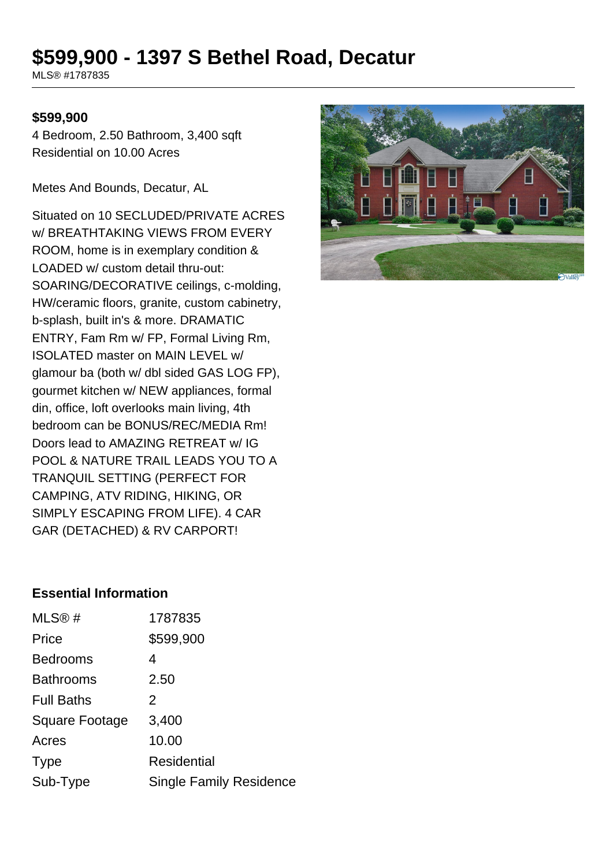# **\$599,900 - 1397 S Bethel Road, Decatur**

MLS® #1787835

#### **\$599,900**

4 Bedroom, 2.50 Bathroom, 3,400 sqft Residential on 10.00 Acres

Metes And Bounds, Decatur, AL

Situated on 10 SECLUDED/PRIVATE ACRES w/ BREATHTAKING VIEWS FROM EVERY ROOM, home is in exemplary condition & LOADED w/ custom detail thru-out: SOARING/DECORATIVE ceilings, c-molding, HW/ceramic floors, granite, custom cabinetry, b-splash, built in's & more. DRAMATIC ENTRY, Fam Rm w/ FP, Formal Living Rm, ISOLATED master on MAIN LEVEL w/ glamour ba (both w/ dbl sided GAS LOG FP), gourmet kitchen w/ NEW appliances, formal din, office, loft overlooks main living, 4th bedroom can be BONUS/REC/MEDIA Rm! Doors lead to AMAZING RETREAT w/ IG POOL & NATURE TRAIL LEADS YOU TO A TRANQUIL SETTING (PERFECT FOR CAMPING, ATV RIDING, HIKING, OR SIMPLY ESCAPING FROM LIFE). 4 CAR GAR (DETACHED) & RV CARPORT!



## **Essential Information**

| MLS®#                 | 1787835                        |
|-----------------------|--------------------------------|
| Price                 | \$599,900                      |
| <b>Bedrooms</b>       | 4                              |
| <b>Bathrooms</b>      | 2.50                           |
| <b>Full Baths</b>     | 2                              |
| <b>Square Footage</b> | 3,400                          |
| Acres                 | 10.00                          |
| <b>Type</b>           | Residential                    |
| Sub-Type              | <b>Single Family Residence</b> |